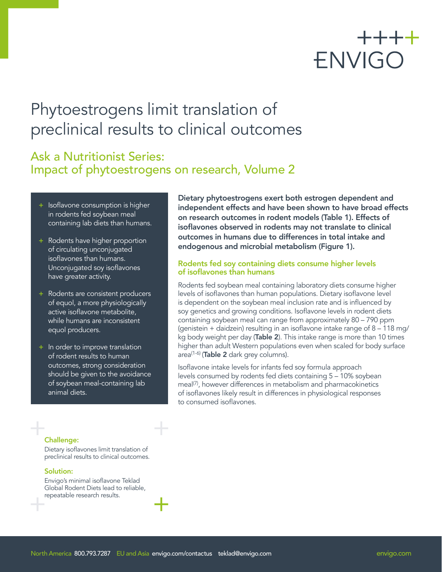# ++++ ENVIGO

## Phytoestrogens limit translation of preclinical results to clinical outcomes

## Ask a Nutritionist Series: Impact of phytoestrogens on research, Volume 2

- + Isoflavone consumption is higher in rodents fed soybean meal containing lab diets than humans.
- + Rodents have higher proportion of circulating unconjugated isoflavones than humans. Unconjugated soy isoflavones have greater activity.
- + Rodents are consistent producers of equol, a more physiologically active isoflavone metabolite, while humans are inconsistent equol producers.
- + In order to improve translation of rodent results to human outcomes, strong consideration should be given to the avoidance of soybean meal-containing lab animal diets.

Dietary phytoestrogens exert both estrogen dependent and independent effects and have been shown to have broad effects on research outcomes in rodent models (Table 1). Effects of isoflavones observed in rodents may not translate to clinical outcomes in humans due to differences in total intake and endogenous and microbial metabolism (Figure 1).

#### Rodents fed soy containing diets consume higher levels of isoflavones than humans

Rodents fed soybean meal containing laboratory diets consume higher levels of isoflavones than human populations. Dietary isoflavone level is dependent on the soybean meal inclusion rate and is influenced by soy genetics and growing conditions. Isoflavone levels in rodent diets containing soybean meal can range from approximately 80 – 790 ppm (genistein + daidzein) resulting in an isoflavone intake range of 8 – 118 mg/ kg body weight per day (Table 2). This intake range is more than 10 times higher than adult Western populations even when scaled for body surface area<sup>(1-6)</sup> (Table 2 dark grey columns).

Isoflavone intake levels for infants fed soy formula approach levels consumed by rodents fed diets containing 5 – 10% soybean meal<sup>(7)</sup>, however differences in metabolism and pharmacokinetics of isoflavones likely result in differences in physiological responses to consumed isoflavones.

#### Challenge:

Dietary isoflavones limit translation of preclinical results to clinical outcomes.

#### Solution:

Envigo's minimal isoflavone Teklad Global Rodent Diets lead to reliable, repeatable research results.

North America 800.793.7287 EU and Asia [envigo.com/contactus](http://www.envigo.com/contact-envigo/) teklad[@envigo.com](mailto:teklad%40envigo.com?subject=) [envigo.com](http://www.envigo.com) envigo.com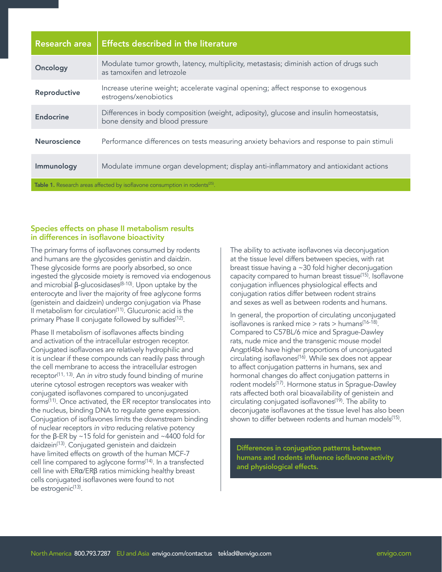| <b>Research area</b>                                                                    | <b>Effects described in the literature</b>                                                                                |  |  |  |  |
|-----------------------------------------------------------------------------------------|---------------------------------------------------------------------------------------------------------------------------|--|--|--|--|
| Oncology                                                                                | Modulate tumor growth, latency, multiplicity, metastasis; diminish action of drugs such<br>as tamoxifen and letrozole     |  |  |  |  |
| Reproductive                                                                            | Increase uterine weight; accelerate vaginal opening; affect response to exogenous<br>estrogens/xenobiotics                |  |  |  |  |
| <b>Endocrine</b>                                                                        | Differences in body composition (weight, adiposity), glucose and insulin homeostatsis,<br>bone density and blood pressure |  |  |  |  |
| <b>Neuroscience</b>                                                                     | Performance differences on tests measuring anxiety behaviors and response to pain stimuli                                 |  |  |  |  |
| Immunology                                                                              | Modulate immune organ development; display anti-inflammatory and antioxidant actions                                      |  |  |  |  |
| Table 1. Research areas affected by isoflavone consumption in rodents <sup>(25)</sup> . |                                                                                                                           |  |  |  |  |

#### Species effects on phase II metabolism results in differences in isoflavone bioactivity

The primary forms of isoflavones consumed by rodents and humans are the glycosides genistin and daidzin. These glycoside forms are poorly absorbed, so once ingested the glycoside moiety is removed via endogenous and microbial β-glucosidases<sup>(8-10)</sup>. Upon uptake by the enterocyte and liver the majority of free aglycone forms (genistein and daidzein) undergo conjugation via Phase II metabolism for circulation<sup>(11)</sup>. Glucuronic acid is the primary Phase II conjugate followed by sulfides<sup>(12)</sup>.

Phase II metabolism of isoflavones affects binding and activation of the intracellular estrogen receptor. Conjugated isoflavones are relatively hydrophilic and it is unclear if these compounds can readily pass through the cell membrane to access the intracellular estrogen receptor<sup>(11, 13)</sup>. An *in vitro* study found binding of murine uterine cytosol estrogen receptors was weaker with conjugated isoflavones compared to unconjugated forms<sup>(11)</sup>. Once activated, the ER receptor translocates into the nucleus, binding DNA to regulate gene expression. Conjugation of isoflavones limits the downstream binding of nuclear receptors *in vitro* reducing relative potency for the β-ER by ~15 fold for genistein and ~4400 fold for daidzein(13). Conjugated genistein and daidzein have limited effects on growth of the human MCF-7 cell line compared to aglycone forms(14). In a transfected cell line with ERα/ERβ ratios mimicking healthy breast cells conjugated isoflavones were found to not be estrogenic<sup>(13)</sup>.

The ability to activate isoflavones via deconjugation at the tissue level differs between species, with rat breast tissue having a ~30 fold higher deconjugation capacity compared to human breast tissue(15). Isoflavone conjugation influences physiological effects and conjugation ratios differ between rodent strains and sexes as well as between rodents and humans.

In general, the proportion of circulating unconjugated isoflavones is ranked mice  $>$  rats  $>$  humans<sup>(16-18)</sup>. Compared to C57BL/6 mice and Sprague-Dawley rats, nude mice and the transgenic mouse model Angptl4b6 have higher proportions of unconjugated circulating isoflavones(16). While sex does not appear to affect conjugation patterns in humans, sex and hormonal changes do affect conjugation patterns in rodent models<sup>(17)</sup>. Hormone status in Sprague-Dawley rats affected both oral bioavailability of genistein and circulating conjugated isoflavones<sup>(19)</sup>. The ability to deconjugate isoflavones at the tissue level has also been shown to differ between rodents and human models<sup>(15)</sup>.

Differences in conjugation patterns between humans and rodents influence isoflavone activity and physiological effects.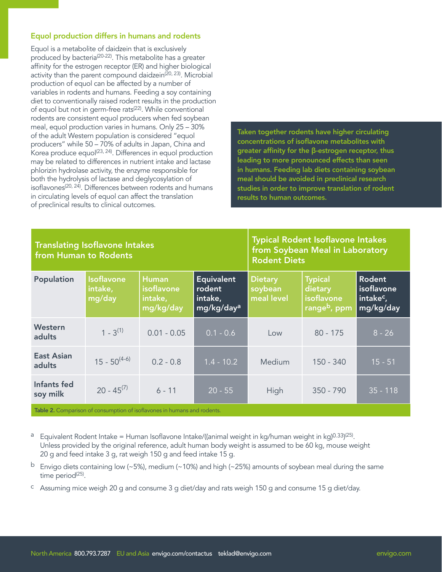#### Equol production differs in humans and rodents

Equol is a metabolite of daidzein that is exclusively produced by bacteria<sup>(20-22)</sup>. This metabolite has a greater affinity for the estrogen receptor (ER) and higher biological activity than the parent compound daidzein<sup>(20, 23)</sup>. Microbial production of equol can be affected by a number of variables in rodents and humans. Feeding a soy containing diet to conventionally raised rodent results in the production of equol but not in germ-free rats<sup>(22)</sup>. While conventional rodents are consistent equol producers when fed soybean meal, equol production varies in humans. Only 25 – 30% of the adult Western population is considered "equol producers" while 50 – 70% of adults in Japan, China and Korea produce equol<sup>(23, 24)</sup>. Differences in equol production may be related to differences in nutrient intake and lactase phlorizin hydrolase activity, the enzyme responsible for both the hydrolysis of lactase and deglycosylation of isoflavones<sup>(20, 24)</sup>. Differences between rodents and humans in circulating levels of equol can affect the translation of preclinical results to clinical outcomes.

Taken together rodents have higher circulating concentrations of isoflavone metabolites with greater affinity for the β-estrogen receptor, thus leading to more pronounced effects than seen in humans. Feeding lab diets containing soybean meal should be avoided in preclinical research studies in order to improve translation of rodent results to human outcomes.

#### Translating Isoflavone Intakes from Human to Rodents

Typical Rodent Isoflavone Intakes from Soybean Meal in Laboratory Rodent Diets

| Population                  | <b>Isoflavone</b><br>intake,<br>mg/day | <b>Human</b><br><i>isoflavone</i><br>intake,<br>mg/kg/day | <b>Equivalent</b><br>  rodent<br>intake,<br>mg/kg/day <sup>a</sup> | <b>Dietary</b><br>soybean<br>meal level | <b>Typical</b><br>dietary<br>isoflavone<br>range <sup>b</sup> , ppm | Rodent<br>isoflavone<br>intake <sup>c</sup> ,<br>mg/kg/day |
|-----------------------------|----------------------------------------|-----------------------------------------------------------|--------------------------------------------------------------------|-----------------------------------------|---------------------------------------------------------------------|------------------------------------------------------------|
| Western<br>adults           | $1 - 3^{(1)}$                          | $0.01 - 0.05$                                             | $0.1 - 0.6$                                                        | Low                                     | $80 - 175$                                                          | $8 - 26$                                                   |
| <b>East Asian</b><br>adults | $15 - 50^{(4-6)}$                      | $0.2 - 0.8$                                               | $1.4 - 10.2$                                                       | Medium                                  | $150 - 340$                                                         | $15 - 51$                                                  |
| Infants fed<br>soy milk     | $20 - 45^{(7)}$                        | $6 - 11$                                                  | $20 - 55$                                                          | High                                    | $350 - 790$                                                         | $35 - 118$                                                 |

**Table 2.** Comparison of consumption of isoflavones in humans and rodents.

- a Equivalent Rodent Intake = Human Isoflavone Intake/((animal weight in kg/human weight in kg)0.33)<sup>(25)</sup>. Unless provided by the original reference, adult human body weight is assumed to be 60 kg, mouse weight 20 g and feed intake 3 g, rat weigh 150 g and feed intake 15 g.
- <sup>b</sup> Envigo diets containing low (~5%), medium (~10%) and high (~25%) amounts of soybean meal during the same time period<sup>(25)</sup>.
- c Assuming mice weigh 20 g and consume 3 g diet/day and rats weigh 150 g and consume 15 g diet/day.